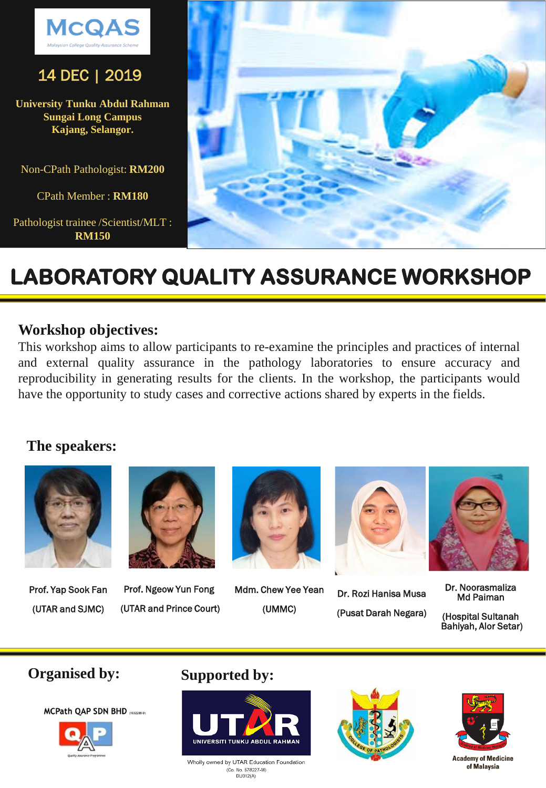

## 14 DEC | 2019

**University Tunku Abdul Rahman Sungai Long Campus Kajang, Selangor.**

Non-CPath Pathologist: **RM200**

CPath Member : **RM180**

Pathologist trainee /Scientist/MLT : **RM150**



## **LABORATORY QUALITY ASSURANCE WORKSHOP**

### **Workshop objectives:**

This workshop aims to allow participants to re-examine the principles and practices of internal and external quality assurance in the pathology laboratories to ensure accuracy and reproducibility in generating results for the clients. In the workshop, the participants would have the opportunity to study cases and corrective actions shared by experts in the fields.

### **The speakers:**



Prof. Yap Sook Fan (UTAR and SJMC)



Prof. Ngeow Yun Fong (UTAR and Prince Court)



Mdm. Chew Yee Yean (UMMC)



Dr. Rozi Hanisa Musa (Pusat Darah Negara)



Dr. Noorasmaliza Md Paiman

(Hospital Sultanah Bahiyah, Alor Setar)





## **Organised by: Supported by:**



Wholly owned by UTAR Education Foundation (Co. No. 578227-M)<br>DU012(A)



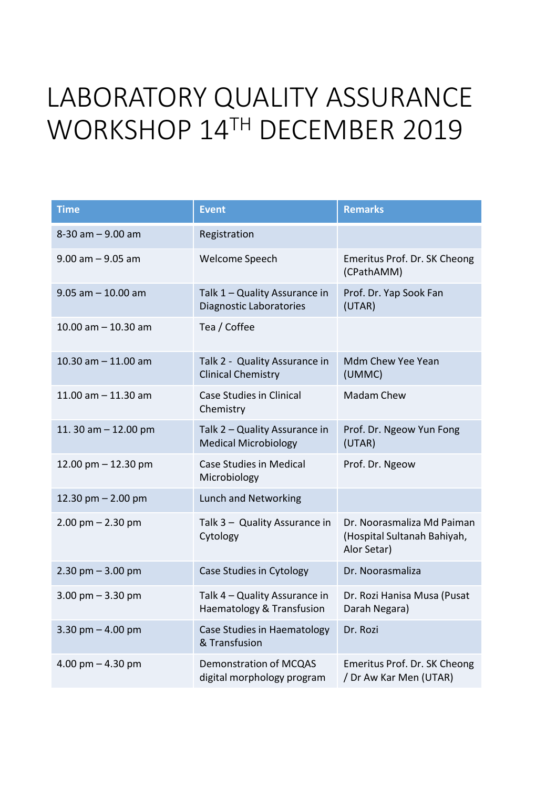## LABORATORY QUALITY ASSURANCE WORKSHOP 14TH DECEMBER 2019

| <b>Time</b>            | <b>Event</b>                                                    | <b>Remarks</b>                                                           |
|------------------------|-----------------------------------------------------------------|--------------------------------------------------------------------------|
| $8-30$ am $-9.00$ am   | Registration                                                    |                                                                          |
| $9.00$ am $-9.05$ am   | Welcome Speech                                                  | Emeritus Prof. Dr. SK Cheong<br>(CPathAMM)                               |
| $9.05$ am $-10.00$ am  | Talk 1 - Quality Assurance in<br><b>Diagnostic Laboratories</b> | Prof. Dr. Yap Sook Fan<br>(UTAR)                                         |
| 10.00 am $-$ 10.30 am  | Tea / Coffee                                                    |                                                                          |
| 10.30 am $-$ 11.00 am  | Talk 2 - Quality Assurance in<br><b>Clinical Chemistry</b>      | Mdm Chew Yee Yean<br>(UMMC)                                              |
| 11.00 am $-$ 11.30 am  | <b>Case Studies in Clinical</b><br>Chemistry                    | <b>Madam Chew</b>                                                        |
| 11. 30 am $-$ 12.00 pm | Talk 2 - Quality Assurance in<br><b>Medical Microbiology</b>    | Prof. Dr. Ngeow Yun Fong<br>(UTAR)                                       |
| 12.00 pm $-$ 12.30 pm  | <b>Case Studies in Medical</b><br>Microbiology                  | Prof. Dr. Ngeow                                                          |
| 12.30 pm $- 2.00$ pm   | Lunch and Networking                                            |                                                                          |
| $2.00$ pm $- 2.30$ pm  | Talk 3 - Quality Assurance in<br>Cytology                       | Dr. Noorasmaliza Md Paiman<br>(Hospital Sultanah Bahiyah,<br>Alor Setar) |
| $2.30$ pm $-3.00$ pm   | Case Studies in Cytology                                        | Dr. Noorasmaliza                                                         |
| 3.00 pm $-$ 3.30 pm    | Talk 4 - Quality Assurance in<br>Haematology & Transfusion      | Dr. Rozi Hanisa Musa (Pusat<br>Darah Negara)                             |
| 3.30 pm $-$ 4.00 pm    | Case Studies in Haematology<br>& Transfusion                    | Dr. Rozi                                                                 |
| 4.00 pm $-$ 4.30 pm    | <b>Demonstration of MCQAS</b><br>digital morphology program     | Emeritus Prof. Dr. SK Cheong<br>/ Dr Aw Kar Men (UTAR)                   |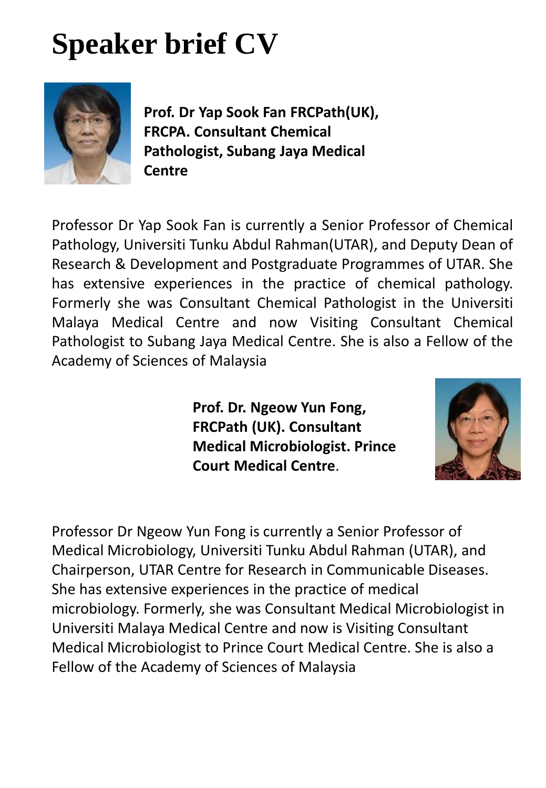# **Speaker brief CV**



**Prof. Dr Yap Sook Fan FRCPath(UK), FRCPA. Consultant Chemical Pathologist, Subang Jaya Medical Centre**

Professor Dr Yap Sook Fan is currently a Senior Professor of Chemical Pathology, Universiti Tunku Abdul Rahman(UTAR), and Deputy Dean of Research & Development and Postgraduate Programmes of UTAR. She has extensive experiences in the practice of chemical pathology. Formerly she was Consultant Chemical Pathologist in the Universiti Malaya Medical Centre and now Visiting Consultant Chemical Pathologist to Subang Jaya Medical Centre. She is also a Fellow of the Academy of Sciences of Malaysia

> **Prof. Dr. Ngeow Yun Fong, FRCPath (UK). Consultant Medical Microbiologist. Prince Court Medical Centre**.



Professor Dr Ngeow Yun Fong is currently a Senior Professor of Medical Microbiology, Universiti Tunku Abdul Rahman (UTAR), and Chairperson, UTAR Centre for Research in Communicable Diseases. She has extensive experiences in the practice of medical microbiology. Formerly, she was Consultant Medical Microbiologist in Universiti Malaya Medical Centre and now is Visiting Consultant Medical Microbiologist to Prince Court Medical Centre. She is also a Fellow of the Academy of Sciences of Malaysia